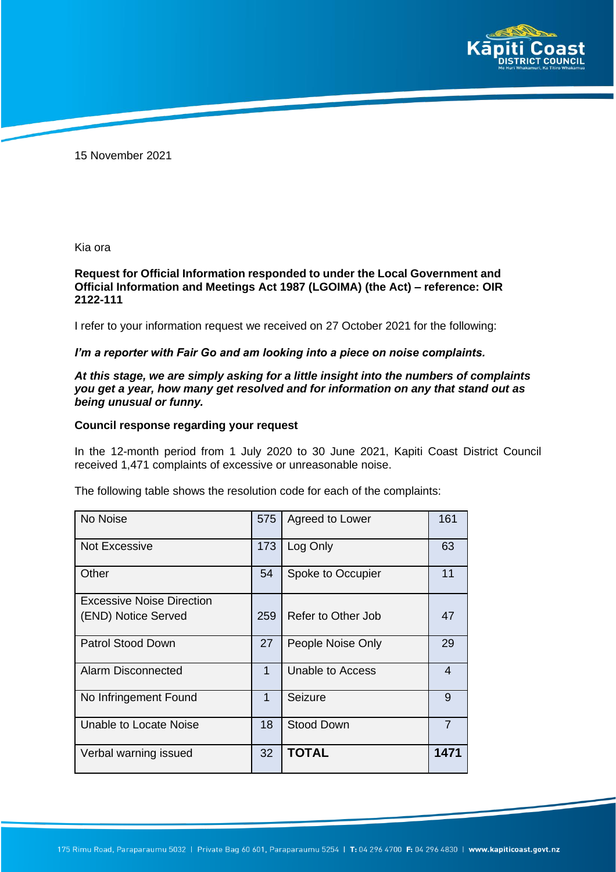

15 November 2021

Kia ora

## **Request for Official Information responded to under the Local Government and Official Information and Meetings Act 1987 (LGOIMA) (the Act) – reference: OIR 2122-111**

I refer to your information request we received on 27 October 2021 for the following:

## *I'm a reporter with Fair Go and am looking into a piece on noise complaints.*

## *At this stage, we are simply asking for a little insight into the numbers of complaints you get a year, how many get resolved and for information on any that stand out as being unusual or funny.*

## **Council response regarding your request**

In the 12-month period from 1 July 2020 to 30 June 2021, Kapiti Coast District Council received 1,471 complaints of excessive or unreasonable noise.

| No Noise                         | 575 | Agreed to Lower    | 161            |
|----------------------------------|-----|--------------------|----------------|
| Not Excessive                    | 173 | Log Only           | 63             |
| Other                            | 54  | Spoke to Occupier  | 11             |
| <b>Excessive Noise Direction</b> |     |                    |                |
| (END) Notice Served              | 259 | Refer to Other Job | 47             |
| Patrol Stood Down                | 27  | People Noise Only  | 29             |
| <b>Alarm Disconnected</b>        | 1   | Unable to Access   | $\overline{4}$ |
| No Infringement Found            | 1   | Seizure            | 9              |
| Unable to Locate Noise           | 18  | Stood Down         | $\overline{7}$ |
| Verbal warning issued            | 32  | <b>TOTAL</b>       | 1471           |

The following table shows the resolution code for each of the complaints: